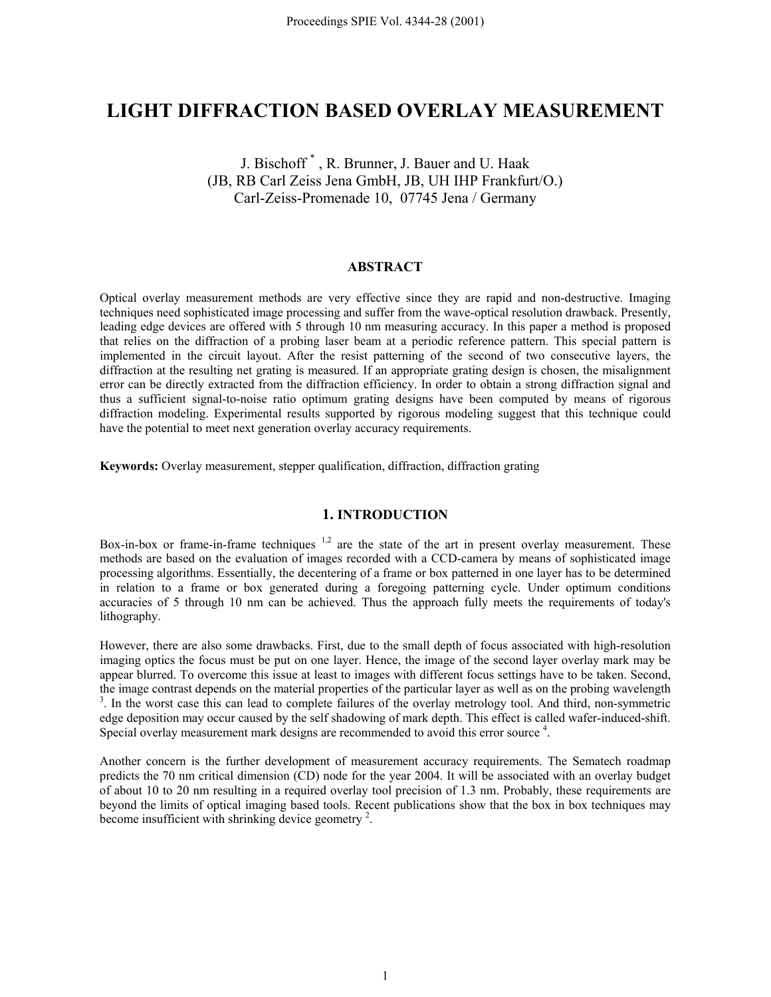# **LIGHT DIFFRACTION BASED OVERLAY MEASUREMENT**

J. Bischoff \* , R. Brunner, J. Bauer and U. Haak (JB, RB Carl Zeiss Jena GmbH, JB, UH IHP Frankfurt/O.) Carl-Zeiss-Promenade 10, 07745 Jena / Germany

## **ABSTRACT**

Optical overlay measurement methods are very effective since they are rapid and non-destructive. Imaging techniques need sophisticated image processing and suffer from the wave-optical resolution drawback. Presently, leading edge devices are offered with 5 through 10 nm measuring accuracy. In this paper a method is proposed that relies on the diffraction of a probing laser beam at a periodic reference pattern. This special pattern is implemented in the circuit layout. After the resist patterning of the second of two consecutive layers, the diffraction at the resulting net grating is measured. If an appropriate grating design is chosen, the misalignment error can be directly extracted from the diffraction efficiency. In order to obtain a strong diffraction signal and thus a sufficient signal-to-noise ratio optimum grating designs have been computed by means of rigorous diffraction modeling. Experimental results supported by rigorous modeling suggest that this technique could have the potential to meet next generation overlay accuracy requirements.

**Keywords:** Overlay measurement, stepper qualification, diffraction, diffraction grating

## **1. INTRODUCTION**

Box-in-box or frame-in-frame techniques  $1,2$  are the state of the art in present overlay measurement. These methods are based on the evaluation of images recorded with a CCD-camera by means of sophisticated image processing algorithms. Essentially, the decentering of a frame or box patterned in one layer has to be determined in relation to a frame or box generated during a foregoing patterning cycle. Under optimum conditions accuracies of 5 through 10 nm can be achieved. Thus the approach fully meets the requirements of today's lithography.

However, there are also some drawbacks. First, due to the small depth of focus associated with high-resolution imaging optics the focus must be put on one layer. Hence, the image of the second layer overlay mark may be appear blurred. To overcome this issue at least to images with different focus settings have to be taken. Second, the image contrast depends on the material properties of the particular layer as well as on the probing wavelength <sup>3</sup>. In the worst case this can lead to complete failures of the overlay metrology tool. And third, non-symmetric edge deposition may occur caused by the self shadowing of mark depth. This effect is called wafer-induced-shift. Special overlay measurement mark designs are recommended to avoid this error source<sup>4</sup>.

Another concern is the further development of measurement accuracy requirements. The Sematech roadmap predicts the 70 nm critical dimension (CD) node for the year 2004. It will be associated with an overlay budget of about 10 to 20 nm resulting in a required overlay tool precision of 1.3 nm. Probably, these requirements are beyond the limits of optical imaging based tools. Recent publications show that the box in box techniques may become insufficient with shrinking device geometry<sup>2</sup>.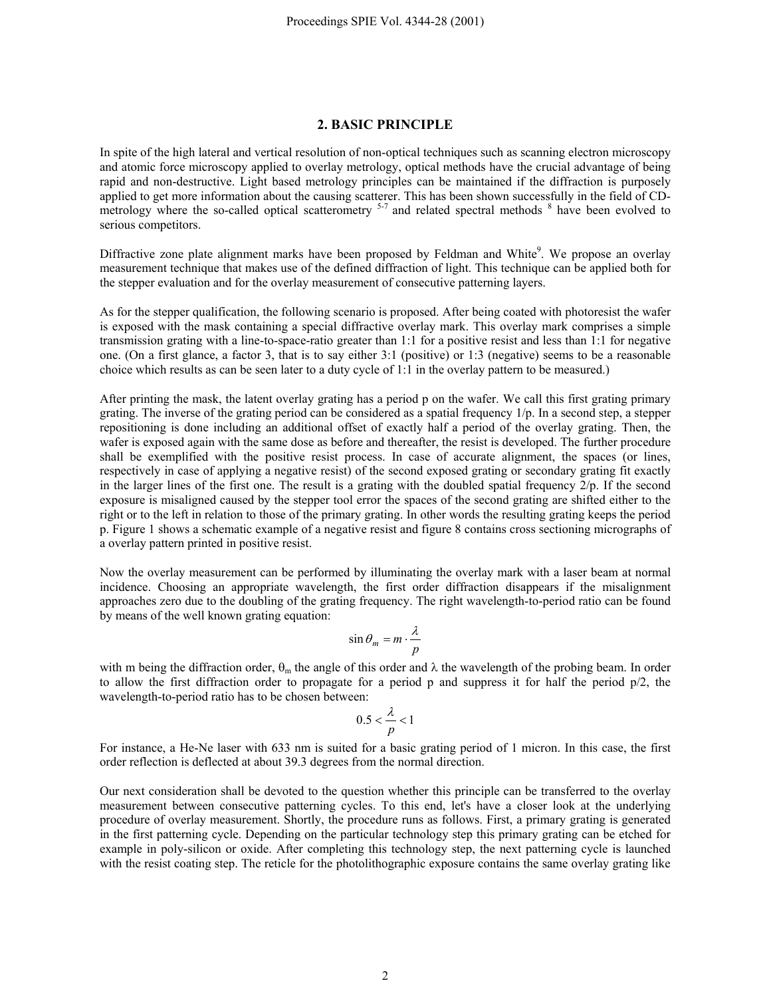## **2. BASIC PRINCIPLE**

In spite of the high lateral and vertical resolution of non-optical techniques such as scanning electron microscopy and atomic force microscopy applied to overlay metrology, optical methods have the crucial advantage of being rapid and non-destructive. Light based metrology principles can be maintained if the diffraction is purposely applied to get more information about the causing scatterer. This has been shown successfully in the field of CD- $\frac{1}{2}$  metrology where the so-called optical scatterometry  $5-7$  and related spectral methods  $8$  have been evolved to serious competitors.

Diffractive zone plate alignment marks have been proposed by Feldman and White<sup>9</sup>. We propose an overlay measurement technique that makes use of the defined diffraction of light. This technique can be applied both for the stepper evaluation and for the overlay measurement of consecutive patterning layers.

As for the stepper qualification, the following scenario is proposed. After being coated with photoresist the wafer is exposed with the mask containing a special diffractive overlay mark. This overlay mark comprises a simple transmission grating with a line-to-space-ratio greater than 1:1 for a positive resist and less than 1:1 for negative one. (On a first glance, a factor 3, that is to say either 3:1 (positive) or 1:3 (negative) seems to be a reasonable choice which results as can be seen later to a duty cycle of 1:1 in the overlay pattern to be measured.)

After printing the mask, the latent overlay grating has a period p on the wafer. We call this first grating primary grating. The inverse of the grating period can be considered as a spatial frequency 1/p. In a second step, a stepper repositioning is done including an additional offset of exactly half a period of the overlay grating. Then, the wafer is exposed again with the same dose as before and thereafter, the resist is developed. The further procedure shall be exemplified with the positive resist process. In case of accurate alignment, the spaces (or lines, respectively in case of applying a negative resist) of the second exposed grating or secondary grating fit exactly in the larger lines of the first one. The result is a grating with the doubled spatial frequency  $2/p$ . If the second exposure is misaligned caused by the stepper tool error the spaces of the second grating are shifted either to the right or to the left in relation to those of the primary grating. In other words the resulting grating keeps the period p. Figure 1 shows a schematic example of a negative resist and figure 8 contains cross sectioning micrographs of a overlay pattern printed in positive resist.

Now the overlay measurement can be performed by illuminating the overlay mark with a laser beam at normal incidence. Choosing an appropriate wavelength, the first order diffraction disappears if the misalignment approaches zero due to the doubling of the grating frequency. The right wavelength-to-period ratio can be found by means of the well known grating equation:

$$
\sin \theta_m = m \cdot \frac{\lambda}{p}
$$

with m being the diffraction order,  $\theta_m$  the angle of this order and  $\lambda$  the wavelength of the probing beam. In order to allow the first diffraction order to propagate for a period p and suppress it for half the period p/2, the wavelength-to-period ratio has to be chosen between:

$$
0.5 < \frac{\lambda}{p} < 1
$$

For instance, a He-Ne laser with 633 nm is suited for a basic grating period of 1 micron. In this case, the first order reflection is deflected at about 39.3 degrees from the normal direction.

Our next consideration shall be devoted to the question whether this principle can be transferred to the overlay measurement between consecutive patterning cycles. To this end, let's have a closer look at the underlying procedure of overlay measurement. Shortly, the procedure runs as follows. First, a primary grating is generated in the first patterning cycle. Depending on the particular technology step this primary grating can be etched for example in poly-silicon or oxide. After completing this technology step, the next patterning cycle is launched with the resist coating step. The reticle for the photolithographic exposure contains the same overlay grating like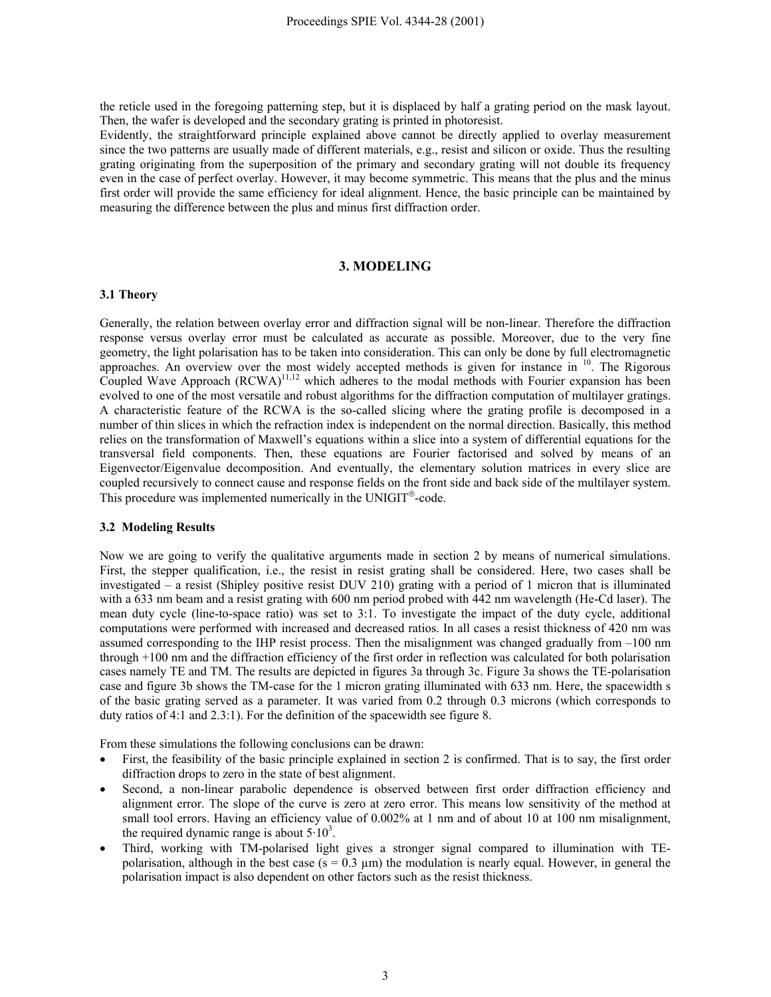the reticle used in the foregoing patterning step, but it is displaced by half a grating period on the mask layout. Then, the wafer is developed and the secondary grating is printed in photoresist.

Evidently, the straightforward principle explained above cannot be directly applied to overlay measurement since the two patterns are usually made of different materials, e.g., resist and silicon or oxide. Thus the resulting grating originating from the superposition of the primary and secondary grating will not double its frequency even in the case of perfect overlay. However, it may become symmetric. This means that the plus and the minus first order will provide the same efficiency for ideal alignment. Hence, the basic principle can be maintained by measuring the difference between the plus and minus first diffraction order.

## **3. MODELING**

#### **3.1 Theory**

Generally, the relation between overlay error and diffraction signal will be non-linear. Therefore the diffraction response versus overlay error must be calculated as accurate as possible. Moreover, due to the very fine geometry, the light polarisation has to be taken into consideration. This can only be done by full electromagnetic approaches. An overview over the most widely accepted methods is given for instance in <sup>10</sup>. The Rigorous Coupled Wave Approach  $(RCWA)^{11,12}$  which adheres to the modal methods with Fourier expansion has been evolved to one of the most versatile and robust algorithms for the diffraction computation of multilayer gratings. A characteristic feature of the RCWA is the so-called slicing where the grating profile is decomposed in a number of thin slices in which the refraction index is independent on the normal direction. Basically, this method relies on the transformation of Maxwell's equations within a slice into a system of differential equations for the transversal field components. Then, these equations are Fourier factorised and solved by means of an Eigenvector/Eigenvalue decomposition. And eventually, the elementary solution matrices in every slice are coupled recursively to connect cause and response fields on the front side and back side of the multilayer system. This procedure was implemented numerically in the UNIGIT $^{\circledcirc}$ -code.

#### **3.2 Modeling Results**

Now we are going to verify the qualitative arguments made in section 2 by means of numerical simulations. First, the stepper qualification, i.e., the resist in resist grating shall be considered. Here, two cases shall be investigated – a resist (Shipley positive resist DUV 210) grating with a period of 1 micron that is illuminated with a 633 nm beam and a resist grating with 600 nm period probed with 442 nm wavelength (He-Cd laser). The mean duty cycle (line-to-space ratio) was set to 3:1. To investigate the impact of the duty cycle, additional computations were performed with increased and decreased ratios. In all cases a resist thickness of 420 nm was assumed corresponding to the IHP resist process. Then the misalignment was changed gradually from –100 nm through +100 nm and the diffraction efficiency of the first order in reflection was calculated for both polarisation cases namely TE and TM. The results are depicted in figures 3a through 3c. Figure 3a shows the TE-polarisation case and figure 3b shows the TM-case for the 1 micron grating illuminated with 633 nm. Here, the spacewidth s of the basic grating served as a parameter. It was varied from 0.2 through 0.3 microns (which corresponds to duty ratios of 4:1 and 2.3:1). For the definition of the spacewidth see figure 8.

From these simulations the following conclusions can be drawn:

- First, the feasibility of the basic principle explained in section 2 is confirmed. That is to say, the first order diffraction drops to zero in the state of best alignment.
- Second, a non-linear parabolic dependence is observed between first order diffraction efficiency and alignment error. The slope of the curve is zero at zero error. This means low sensitivity of the method at small tool errors. Having an efficiency value of 0.002% at 1 nm and of about 10 at 100 nm misalignment, the required dynamic range is about  $5.10^3$ .
- Third, working with TM-polarised light gives a stronger signal compared to illumination with TEpolarisation, although in the best case ( $s = 0.3 \mu m$ ) the modulation is nearly equal. However, in general the polarisation impact is also dependent on other factors such as the resist thickness.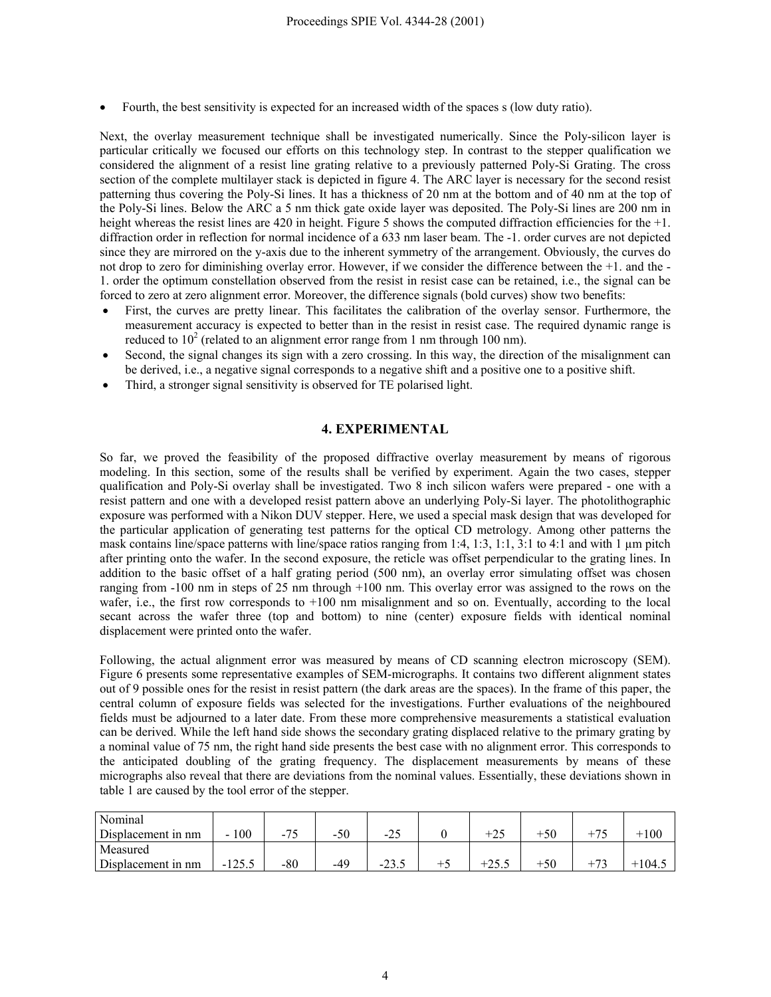• Fourth, the best sensitivity is expected for an increased width of the spaces s (low duty ratio).

Next, the overlay measurement technique shall be investigated numerically. Since the Poly-silicon layer is particular critically we focused our efforts on this technology step. In contrast to the stepper qualification we considered the alignment of a resist line grating relative to a previously patterned Poly-Si Grating. The cross section of the complete multilayer stack is depicted in figure 4. The ARC layer is necessary for the second resist patterning thus covering the Poly-Si lines. It has a thickness of 20 nm at the bottom and of 40 nm at the top of the Poly-Si lines. Below the ARC a 5 nm thick gate oxide layer was deposited. The Poly-Si lines are 200 nm in height whereas the resist lines are 420 in height. Figure 5 shows the computed diffraction efficiencies for the +1. diffraction order in reflection for normal incidence of a 633 nm laser beam. The -1. order curves are not depicted since they are mirrored on the y-axis due to the inherent symmetry of the arrangement. Obviously, the curves do not drop to zero for diminishing overlay error. However, if we consider the difference between the +1. and the -1. order the optimum constellation observed from the resist in resist case can be retained, i.e., the signal can be forced to zero at zero alignment error. Moreover, the difference signals (bold curves) show two benefits:

- First, the curves are pretty linear. This facilitates the calibration of the overlay sensor. Furthermore, the measurement accuracy is expected to better than in the resist in resist case. The required dynamic range is reduced to  $10^2$  (related to an alignment error range from 1 nm through 100 nm).
- Second, the signal changes its sign with a zero crossing. In this way, the direction of the misalignment can be derived, i.e., a negative signal corresponds to a negative shift and a positive one to a positive shift.
- Third, a stronger signal sensitivity is observed for TE polarised light.

## **4. EXPERIMENTAL**

So far, we proved the feasibility of the proposed diffractive overlay measurement by means of rigorous modeling. In this section, some of the results shall be verified by experiment. Again the two cases, stepper qualification and Poly-Si overlay shall be investigated. Two 8 inch silicon wafers were prepared - one with a resist pattern and one with a developed resist pattern above an underlying Poly-Si layer. The photolithographic exposure was performed with a Nikon DUV stepper. Here, we used a special mask design that was developed for the particular application of generating test patterns for the optical CD metrology. Among other patterns the mask contains line/space patterns with line/space ratios ranging from 1:4, 1:3, 1:1, 3:1 to 4:1 and with 1  $\mu$ m pitch after printing onto the wafer. In the second exposure, the reticle was offset perpendicular to the grating lines. In addition to the basic offset of a half grating period (500 nm), an overlay error simulating offset was chosen ranging from -100 nm in steps of 25 nm through +100 nm. This overlay error was assigned to the rows on the wafer, i.e., the first row corresponds to +100 nm misalignment and so on. Eventually, according to the local secant across the wafer three (top and bottom) to nine (center) exposure fields with identical nominal displacement were printed onto the wafer.

Following, the actual alignment error was measured by means of CD scanning electron microscopy (SEM). Figure 6 presents some representative examples of SEM-micrographs. It contains two different alignment states out of 9 possible ones for the resist in resist pattern (the dark areas are the spaces). In the frame of this paper, the central column of exposure fields was selected for the investigations. Further evaluations of the neighboured fields must be adjourned to a later date. From these more comprehensive measurements a statistical evaluation can be derived. While the left hand side shows the secondary grating displaced relative to the primary grating by a nominal value of 75 nm, the right hand side presents the best case with no alignment error. This corresponds to the anticipated doubling of the grating frequency. The displacement measurements by means of these micrographs also reveal that there are deviations from the nominal values. Essentially, these deviations shown in table 1 are caused by the tool error of the stepper.

| Nominal            |          |       |       |        |  |       |          |
|--------------------|----------|-------|-------|--------|--|-------|----------|
| Displacement in nm | $-100$   | $-75$ | $-50$ | $-25$  |  |       | $+100$   |
| Measured           |          |       |       |        |  |       |          |
| Displacement in nm | $-125.5$ | $-80$ | $-49$ | $-23.$ |  | $+50$ | $-104.5$ |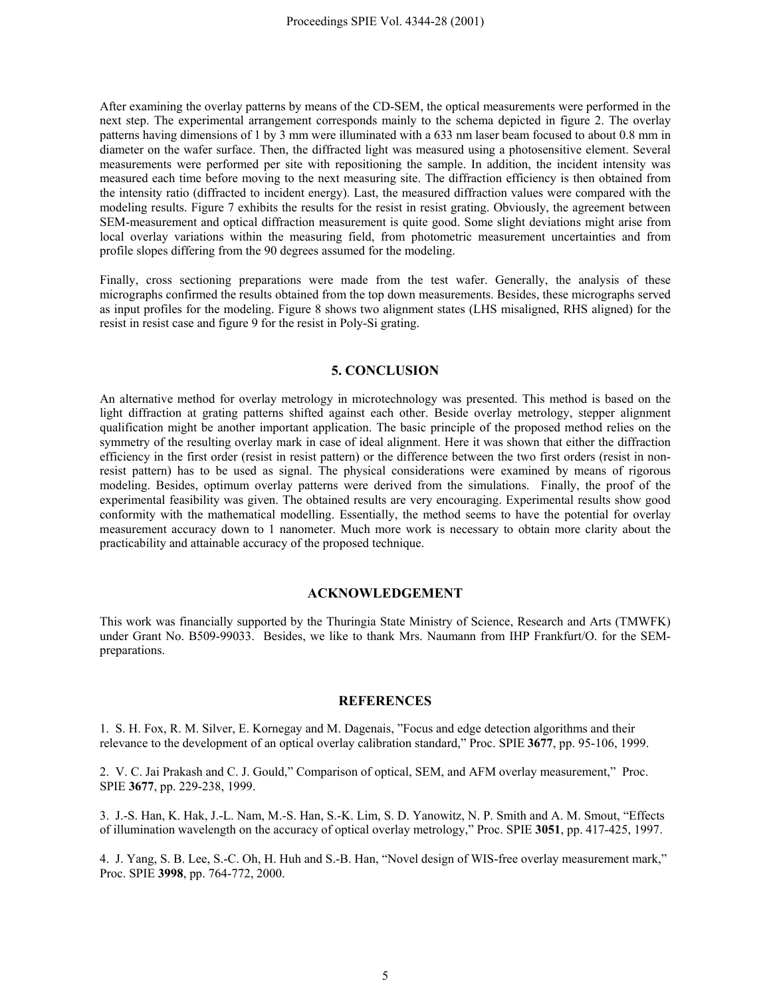After examining the overlay patterns by means of the CD-SEM, the optical measurements were performed in the next step. The experimental arrangement corresponds mainly to the schema depicted in figure 2. The overlay patterns having dimensions of 1 by 3 mm were illuminated with a 633 nm laser beam focused to about 0.8 mm in diameter on the wafer surface. Then, the diffracted light was measured using a photosensitive element. Several measurements were performed per site with repositioning the sample. In addition, the incident intensity was measured each time before moving to the next measuring site. The diffraction efficiency is then obtained from the intensity ratio (diffracted to incident energy). Last, the measured diffraction values were compared with the modeling results. Figure 7 exhibits the results for the resist in resist grating. Obviously, the agreement between SEM-measurement and optical diffraction measurement is quite good. Some slight deviations might arise from local overlay variations within the measuring field, from photometric measurement uncertainties and from profile slopes differing from the 90 degrees assumed for the modeling.

Finally, cross sectioning preparations were made from the test wafer. Generally, the analysis of these micrographs confirmed the results obtained from the top down measurements. Besides, these micrographs served as input profiles for the modeling. Figure 8 shows two alignment states (LHS misaligned, RHS aligned) for the resist in resist case and figure 9 for the resist in Poly-Si grating.

## **5. CONCLUSION**

An alternative method for overlay metrology in microtechnology was presented. This method is based on the light diffraction at grating patterns shifted against each other. Beside overlay metrology, stepper alignment qualification might be another important application. The basic principle of the proposed method relies on the symmetry of the resulting overlay mark in case of ideal alignment. Here it was shown that either the diffraction efficiency in the first order (resist in resist pattern) or the difference between the two first orders (resist in nonresist pattern) has to be used as signal. The physical considerations were examined by means of rigorous modeling. Besides, optimum overlay patterns were derived from the simulations. Finally, the proof of the experimental feasibility was given. The obtained results are very encouraging. Experimental results show good conformity with the mathematical modelling. Essentially, the method seems to have the potential for overlay measurement accuracy down to 1 nanometer. Much more work is necessary to obtain more clarity about the practicability and attainable accuracy of the proposed technique.

#### **ACKNOWLEDGEMENT**

This work was financially supported by the Thuringia State Ministry of Science, Research and Arts (TMWFK) under Grant No. B509-99033. Besides, we like to thank Mrs. Naumann from IHP Frankfurt/O. for the SEMpreparations.

#### **REFERENCES**

1. S. H. Fox, R. M. Silver, E. Kornegay and M. Dagenais, "Focus and edge detection algorithms and their relevance to the development of an optical overlay calibration standard," Proc. SPIE **3677**, pp. 95-106, 1999.

2. V. C. Jai Prakash and C. J. Gould," Comparison of optical, SEM, and AFM overlay measurement," Proc. SPIE **3677**, pp. 229-238, 1999.

3. J.-S. Han, K. Hak, J.-L. Nam, M.-S. Han, S.-K. Lim, S. D. Yanowitz, N. P. Smith and A. M. Smout, "Effects of illumination wavelength on the accuracy of optical overlay metrology," Proc. SPIE **3051**, pp. 417-425, 1997.

4. J. Yang, S. B. Lee, S.-C. Oh, H. Huh and S.-B. Han, "Novel design of WIS-free overlay measurement mark," Proc. SPIE **3998**, pp. 764-772, 2000.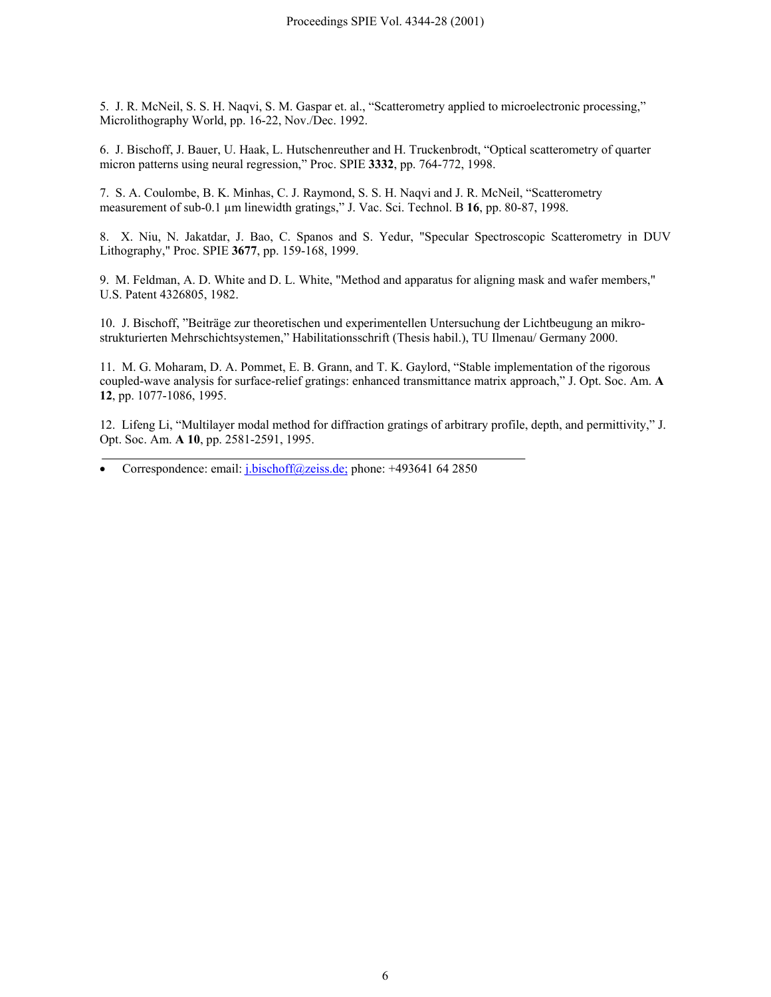5. J. R. McNeil, S. S. H. Naqvi, S. M. Gaspar et. al., "Scatterometry applied to microelectronic processing," Microlithography World, pp. 16-22, Nov./Dec. 1992.

6. J. Bischoff, J. Bauer, U. Haak, L. Hutschenreuther and H. Truckenbrodt, "Optical scatterometry of quarter micron patterns using neural regression," Proc. SPIE **3332**, pp. 764-772, 1998.

7. S. A. Coulombe, B. K. Minhas, C. J. Raymond, S. S. H. Naqvi and J. R. McNeil, "Scatterometry measurement of sub-0.1 µm linewidth gratings," J. Vac. Sci. Technol. B **16**, pp. 80-87, 1998.

8. X. Niu, N. Jakatdar, J. Bao, C. Spanos and S. Yedur, "Specular Spectroscopic Scatterometry in DUV Lithography," Proc. SPIE **3677**, pp. 159-168, 1999.

9. M. Feldman, A. D. White and D. L. White, "Method and apparatus for aligning mask and wafer members," U.S. Patent 4326805, 1982.

10. J. Bischoff, "Beiträge zur theoretischen und experimentellen Untersuchung der Lichtbeugung an mikrostrukturierten Mehrschichtsystemen," Habilitationsschrift (Thesis habil.), TU Ilmenau/ Germany 2000.

11. M. G. Moharam, D. A. Pommet, E. B. Grann, and T. K. Gaylord, "Stable implementation of the rigorous coupled-wave analysis for surface-relief gratings: enhanced transmittance matrix approach," J. Opt. Soc. Am. **A 12**, pp. 1077-1086, 1995.

12. Lifeng Li, "Multilayer modal method for diffraction gratings of arbitrary profile, depth, and permittivity," J. Opt. Soc. Am. **A 10**, pp. 2581-2591, 1995.

<sup>•</sup> Correspondence: email: j.bischoff@zeiss.de; phone: +493641 64 2850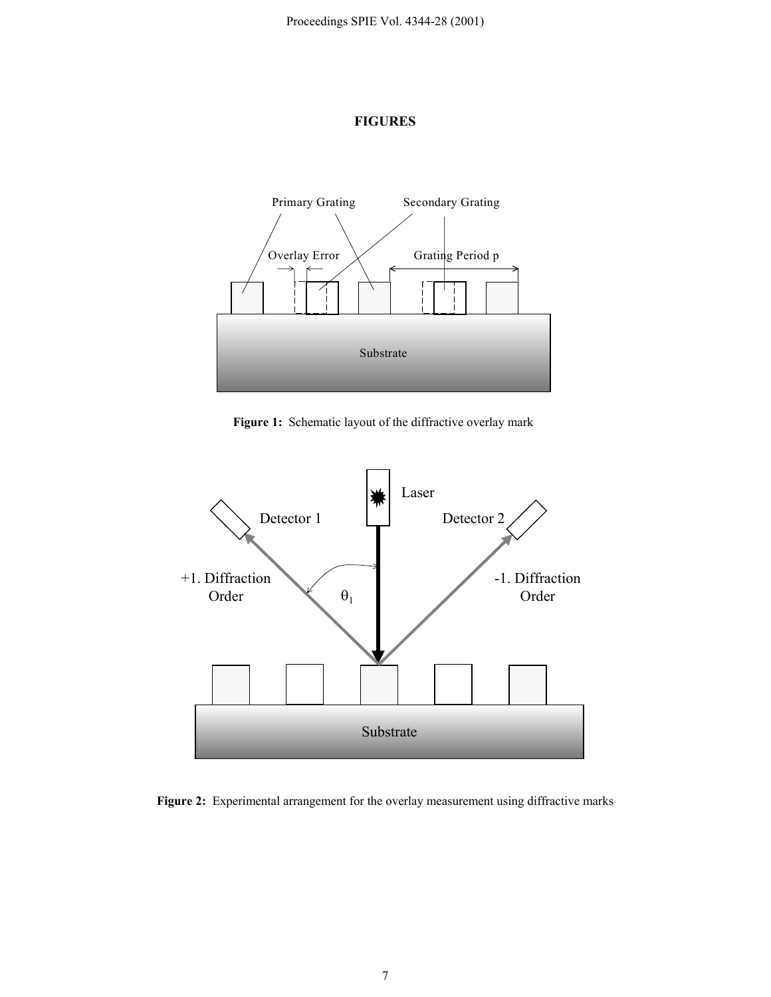Proceedings SPIE Vol. 4344-28 (2001)

## **FIGURES**



Figure 1: Schematic layout of the diffractive overlay mark



Figure 2: Experimental arrangement for the overlay measurement using diffractive marks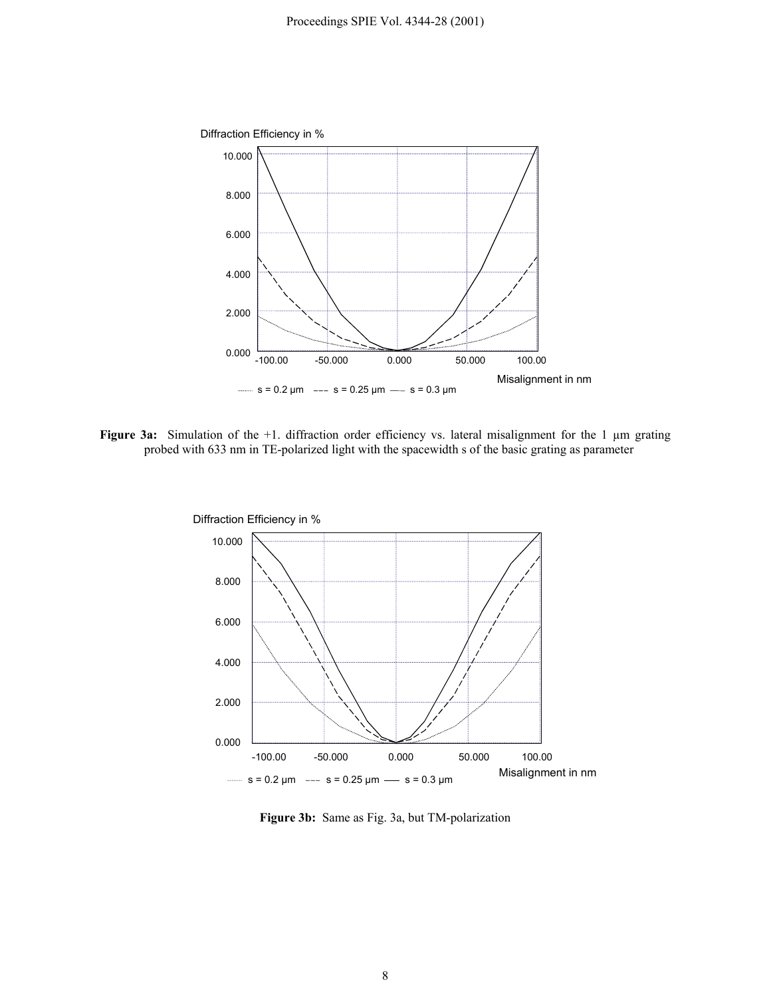

**Figure 3a:** Simulation of the +1. diffraction order efficiency vs. lateral misalignment for the 1 µm grating probed with 633 nm in TE-polarized light with the spacewidth s of the basic grating as parameter



**Figure 3b:** Same as Fig. 3a, but TM-polarization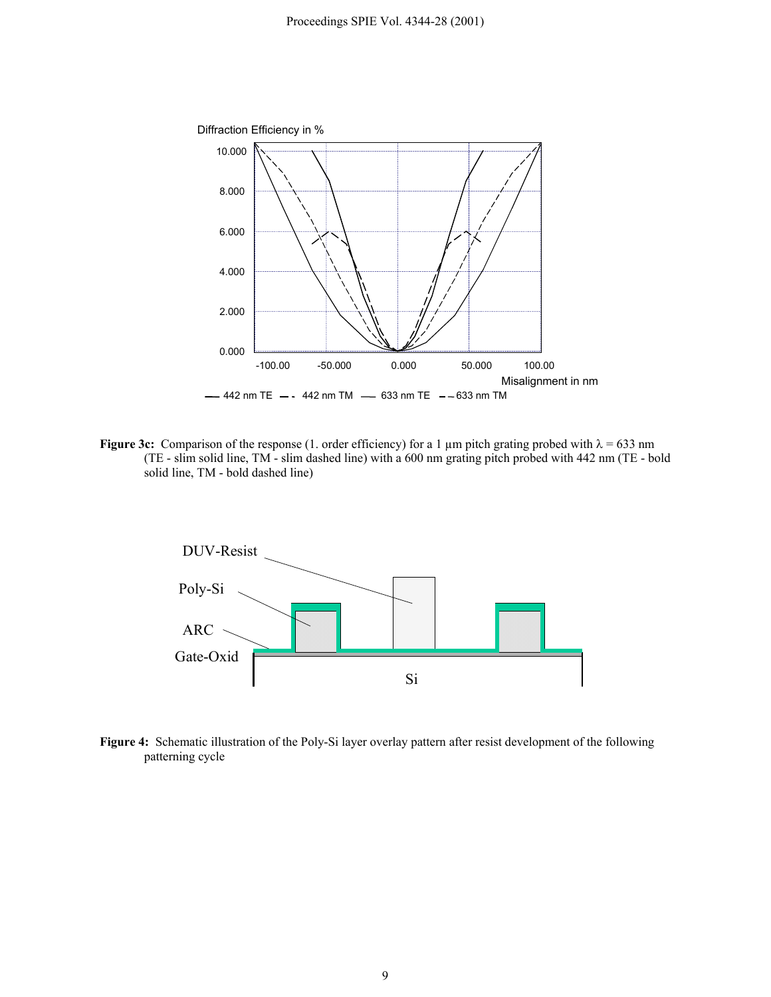

**Figure 3c:** Comparison of the response (1. order efficiency) for a 1  $\mu$ m pitch grating probed with  $\lambda = 633$  nm (TE - slim solid line, TM - slim dashed line) with a 600 nm grating pitch probed with 442 nm (TE - bold solid line, TM - bold dashed line)



**Figure 4:** Schematic illustration of the Poly-Si layer overlay pattern after resist development of the following patterning cycle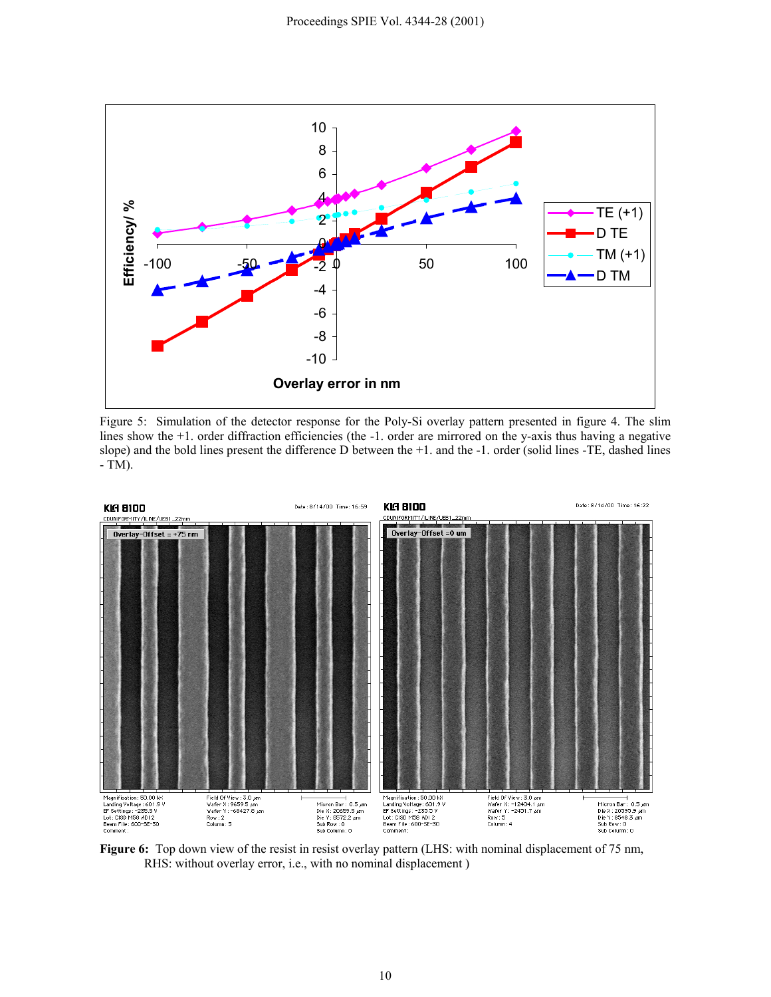

Figure 5: Simulation of the detector response for the Poly-Si overlay pattern presented in figure 4. The slim lines show the +1. order diffraction efficiencies (the -1. order are mirrored on the y-axis thus having a negative slope) and the bold lines present the difference D between the +1. and the -1. order (solid lines -TE, dashed lines - TM).



RHS: without overlay error, i.e., with no nominal displacement )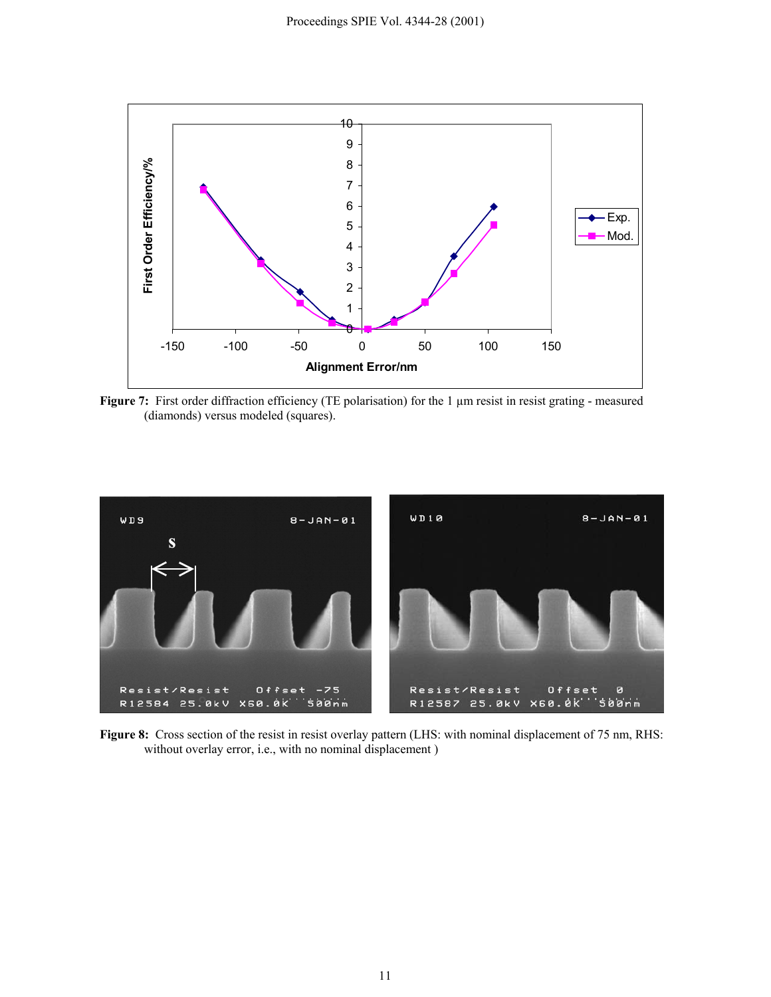

**Figure 7:** First order diffraction efficiency (TE polarisation) for the 1 µm resist in resist grating - measured (diamonds) versus modeled (squares).



**Figure 8:** Cross section of the resist in resist overlay pattern (LHS: with nominal displacement of 75 nm, RHS: without overlay error, i.e., with no nominal displacement )